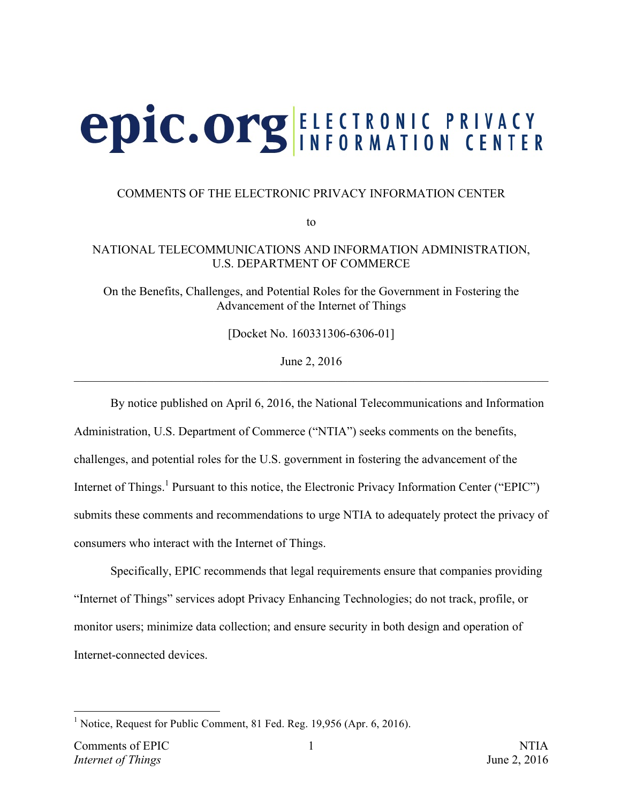# **epic.org ELECTRONIC PRIVACY**

#### COMMENTS OF THE ELECTRONIC PRIVACY INFORMATION CENTER

to

#### NATIONAL TELECOMMUNICATIONS AND INFORMATION ADMINISTRATION, U.S. DEPARTMENT OF COMMERCE

On the Benefits, Challenges, and Potential Roles for the Government in Fostering the Advancement of the Internet of Things

[Docket No. 160331306-6306-01]

June 2, 2016  $\_$  , and the contribution of the contribution of the contribution of the contribution of  $\mathcal{L}_\text{max}$ 

By notice published on April 6, 2016, the National Telecommunications and Information Administration, U.S. Department of Commerce ("NTIA") seeks comments on the benefits, challenges, and potential roles for the U.S. government in fostering the advancement of the Internet of Things.<sup>1</sup> Pursuant to this notice, the Electronic Privacy Information Center ("EPIC") submits these comments and recommendations to urge NTIA to adequately protect the privacy of consumers who interact with the Internet of Things.

Specifically, EPIC recommends that legal requirements ensure that companies providing "Internet of Things" services adopt Privacy Enhancing Technologies; do not track, profile, or monitor users; minimize data collection; and ensure security in both design and operation of Internet-connected devices.

<sup>&</sup>lt;sup>1</sup> Notice, Request for Public Comment, 81 Fed. Reg. 19,956 (Apr. 6, 2016).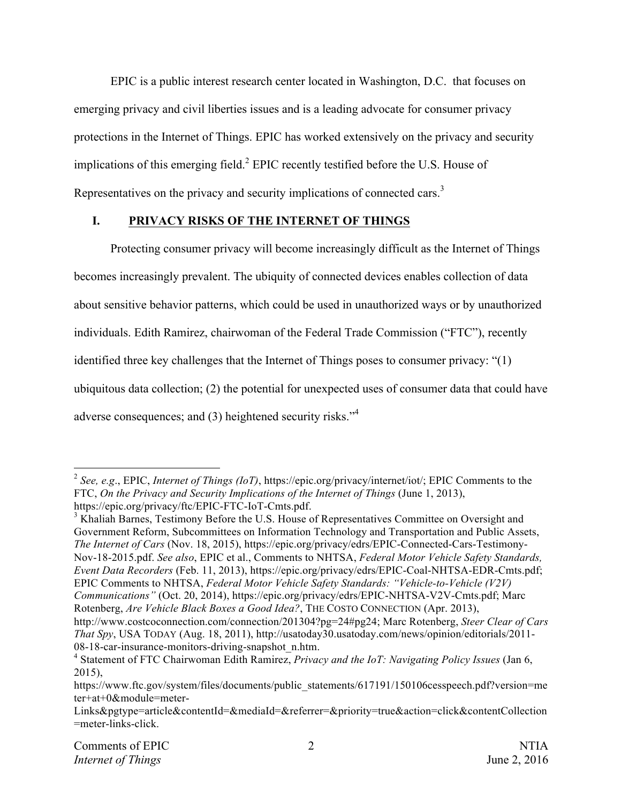EPIC is a public interest research center located in Washington, D.C. that focuses on emerging privacy and civil liberties issues and is a leading advocate for consumer privacy protections in the Internet of Things. EPIC has worked extensively on the privacy and security implications of this emerging field.<sup>2</sup> EPIC recently testified before the U.S. House of Representatives on the privacy and security implications of connected cars.<sup>3</sup>

# **I. PRIVACY RISKS OF THE INTERNET OF THINGS**

Protecting consumer privacy will become increasingly difficult as the Internet of Things becomes increasingly prevalent. The ubiquity of connected devices enables collection of data about sensitive behavior patterns, which could be used in unauthorized ways or by unauthorized individuals. Edith Ramirez, chairwoman of the Federal Trade Commission ("FTC"), recently identified three key challenges that the Internet of Things poses to consumer privacy: "(1) ubiquitous data collection; (2) the potential for unexpected uses of consumer data that could have adverse consequences; and (3) heightened security risks."<sup>4</sup>

<sup>3</sup> Khaliah Barnes, Testimony Before the U.S. House of Representatives Committee on Oversight and Government Reform, Subcommittees on Information Technology and Transportation and Public Assets, *The Internet of Cars* (Nov. 18, 2015), https://epic.org/privacy/edrs/EPIC-Connected-Cars-Testimony-Nov-18-2015.pdf. *See also*, EPIC et al., Comments to NHTSA, *Federal Motor Vehicle Safety Standards, Event Data Recorders* (Feb. 11, 2013), https://epic.org/privacy/edrs/EPIC-Coal-NHTSA-EDR-Cmts.pdf; EPIC Comments to NHTSA, *Federal Motor Vehicle Safety Standards: "Vehicle-to-Vehicle (V2V) Communications"* (Oct. 20, 2014), https://epic.org/privacy/edrs/EPIC-NHTSA-V2V-Cmts.pdf; Marc Rotenberg, *Are Vehicle Black Boxes a Good Idea?*, THE COSTO CONNECTION (Apr. 2013), http://www.costcoconnection.com/connection/201304?pg=24#pg24; Marc Rotenberg, *Steer Clear of Cars* 

 <sup>2</sup> *See, e.g*., EPIC, *Internet of Things (IoT)*, https://epic.org/privacy/internet/iot/; EPIC Comments to the FTC, *On the Privacy and Security Implications of the Internet of Things* (June 1, 2013), https://epic.org/privacy/ftc/EPIC-FTC-IoT-Cmts.pdf.

*That Spy*, USA TODAY (Aug. 18, 2011), http://usatoday30.usatoday.com/news/opinion/editorials/2011- 08-18-car-insurance-monitors-driving-snapshot\_n.htm.

<sup>4</sup> Statement of FTC Chairwoman Edith Ramirez, *Privacy and the IoT: Navigating Policy Issues* (Jan 6, 2015),

https://www.ftc.gov/system/files/documents/public\_statements/617191/150106cesspeech.pdf?version=me ter+at+0&module=meter-

Links&pgtype=article&contentId=&mediaId=&referrer=&priority=true&action=click&contentCollection =meter-links-click.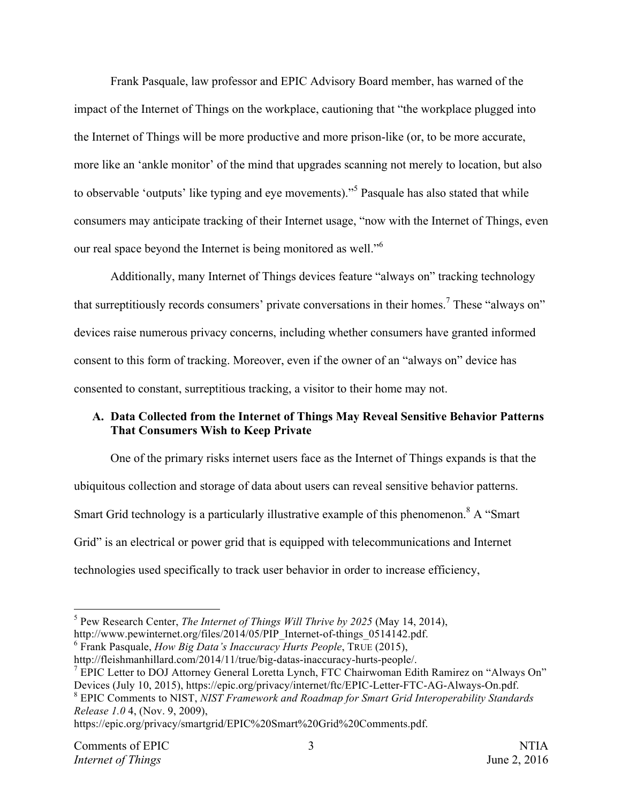Frank Pasquale, law professor and EPIC Advisory Board member, has warned of the impact of the Internet of Things on the workplace, cautioning that "the workplace plugged into the Internet of Things will be more productive and more prison-like (or, to be more accurate, more like an 'ankle monitor' of the mind that upgrades scanning not merely to location, but also to observable 'outputs' like typing and eye movements)."<sup>5</sup> Pasquale has also stated that while consumers may anticipate tracking of their Internet usage, "now with the Internet of Things, even our real space beyond the Internet is being monitored as well."<sup>6</sup>

Additionally, many Internet of Things devices feature "always on" tracking technology that surreptitiously records consumers' private conversations in their homes.<sup>7</sup> These "always on" devices raise numerous privacy concerns, including whether consumers have granted informed consent to this form of tracking. Moreover, even if the owner of an "always on" device has consented to constant, surreptitious tracking, a visitor to their home may not.

## **A. Data Collected from the Internet of Things May Reveal Sensitive Behavior Patterns That Consumers Wish to Keep Private**

One of the primary risks internet users face as the Internet of Things expands is that the ubiquitous collection and storage of data about users can reveal sensitive behavior patterns. Smart Grid technology is a particularly illustrative example of this phenomenon.<sup>8</sup> A "Smart" Grid" is an electrical or power grid that is equipped with telecommunications and Internet technologies used specifically to track user behavior in order to increase efficiency,

*Release 1.0* 4, (Nov. 9, 2009),

https://epic.org/privacy/smartgrid/EPIC%20Smart%20Grid%20Comments.pdf.

 <sup>5</sup> Pew Research Center, *The Internet of Things Will Thrive by 2025* (May 14, 2014),

http://www.pewinternet.org/files/2014/05/PIP\_Internet-of-things\_0514142.pdf.

<sup>6</sup> Frank Pasquale, *How Big Data's Inaccuracy Hurts People*, TRUE (2015),

http://fleishmanhillard.com/2014/11/true/big-datas-inaccuracy-hurts-people/.

 $<sup>7</sup>$  EPIC Letter to DOJ Attorney General Loretta Lynch, FTC Chairwoman Edith Ramirez on "Always On"</sup> Devices (July 10, 2015), https://epic.org/privacy/internet/ftc/EPIC-Letter-FTC-AG-Always-On.pdf. <sup>8</sup> EPIC Comments to NIST, *NIST Framework and Roadmap for Smart Grid Interoperability Standards*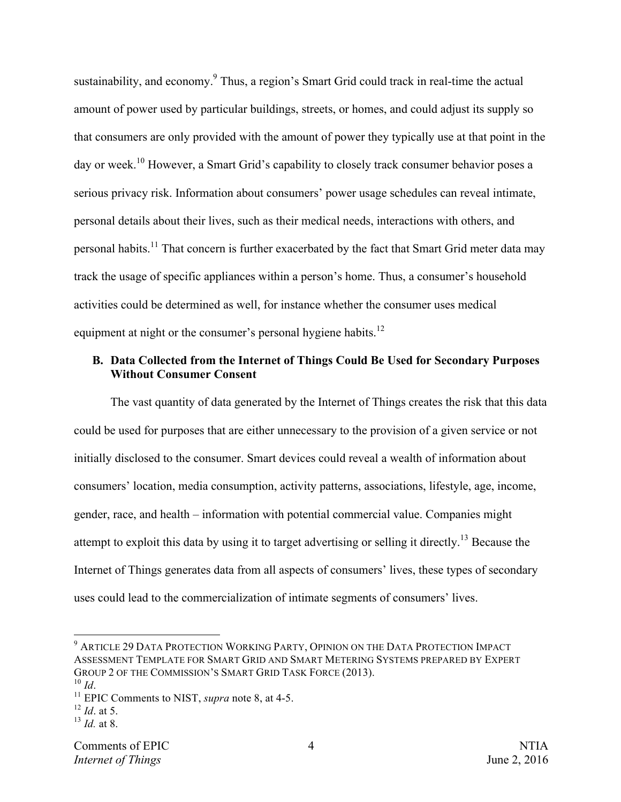sustainability, and economy.<sup>9</sup> Thus, a region's Smart Grid could track in real-time the actual amount of power used by particular buildings, streets, or homes, and could adjust its supply so that consumers are only provided with the amount of power they typically use at that point in the day or week.<sup>10</sup> However, a Smart Grid's capability to closely track consumer behavior poses a serious privacy risk. Information about consumers' power usage schedules can reveal intimate, personal details about their lives, such as their medical needs, interactions with others, and personal habits.<sup>11</sup> That concern is further exacerbated by the fact that Smart Grid meter data may track the usage of specific appliances within a person's home. Thus, a consumer's household activities could be determined as well, for instance whether the consumer uses medical equipment at night or the consumer's personal hygiene habits.<sup>12</sup>

#### **B. Data Collected from the Internet of Things Could Be Used for Secondary Purposes Without Consumer Consent**

The vast quantity of data generated by the Internet of Things creates the risk that this data could be used for purposes that are either unnecessary to the provision of a given service or not initially disclosed to the consumer. Smart devices could reveal a wealth of information about consumers' location, media consumption, activity patterns, associations, lifestyle, age, income, gender, race, and health – information with potential commercial value. Companies might attempt to exploit this data by using it to target advertising or selling it directly.<sup>13</sup> Because the Internet of Things generates data from all aspects of consumers' lives, these types of secondary uses could lead to the commercialization of intimate segments of consumers' lives.

<sup>12</sup> *Id*. at 5.

 <sup>9</sup> ARTICLE 29 DATA PROTECTION WORKING PARTY, OPINION ON THE DATA PROTECTION IMPACT ASSESSMENT TEMPLATE FOR SMART GRID AND SMART METERING SYSTEMS PREPARED BY EXPERT GROUP 2 OF THE COMMISSION'S SMART GRID TASK FORCE (2013).<br><sup>10</sup> Id

<sup>&</sup>lt;sup>11</sup> EPIC Comments to NIST, *supra* note 8, at 4-5.

<sup>13</sup> *Id.* at 8.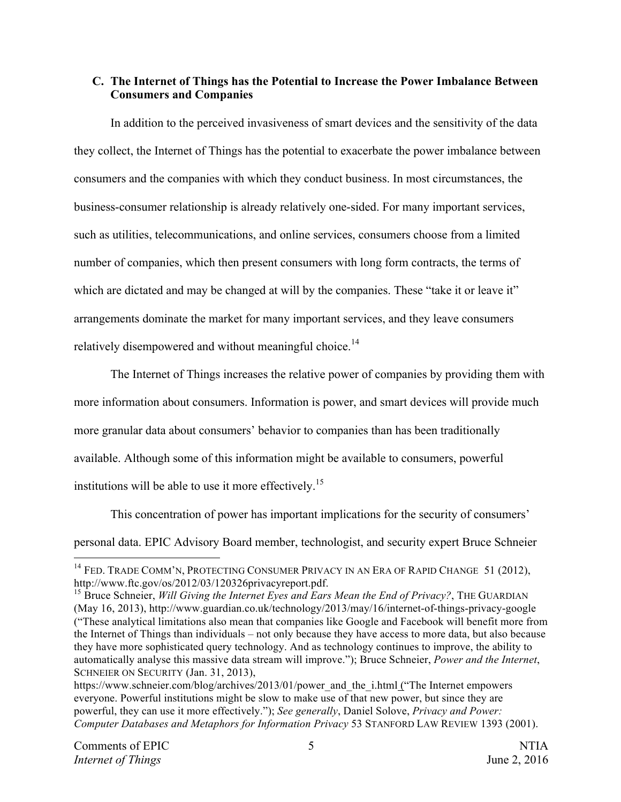### **C. The Internet of Things has the Potential to Increase the Power Imbalance Between Consumers and Companies**

In addition to the perceived invasiveness of smart devices and the sensitivity of the data they collect, the Internet of Things has the potential to exacerbate the power imbalance between consumers and the companies with which they conduct business. In most circumstances, the business-consumer relationship is already relatively one-sided. For many important services, such as utilities, telecommunications, and online services, consumers choose from a limited number of companies, which then present consumers with long form contracts, the terms of which are dictated and may be changed at will by the companies. These "take it or leave it" arrangements dominate the market for many important services, and they leave consumers relatively disempowered and without meaningful choice.<sup>14</sup>

The Internet of Things increases the relative power of companies by providing them with more information about consumers. Information is power, and smart devices will provide much more granular data about consumers' behavior to companies than has been traditionally available. Although some of this information might be available to consumers, powerful institutions will be able to use it more effectively.<sup>15</sup>

This concentration of power has important implications for the security of consumers' personal data. EPIC Advisory Board member, technologist, and security expert Bruce Schneier

<sup>&</sup>lt;sup>14</sup> FED. TRADE COMM'N, PROTECTING CONSUMER PRIVACY IN AN ERA OF RAPID CHANGE 51 (2012), http://www.ftc.gov/os/2012/03/120326privacyreport.pdf.

<sup>15</sup> Bruce Schneier, *Will Giving the Internet Eyes and Ears Mean the End of Privacy?*, THE GUARDIAN (May 16, 2013), http://www.guardian.co.uk/technology/2013/may/16/internet-of-things-privacy-google ("These analytical limitations also mean that companies like Google and Facebook will benefit more from the Internet of Things than individuals – not only because they have access to more data, but also because they have more sophisticated query technology. And as technology continues to improve, the ability to automatically analyse this massive data stream will improve."); Bruce Schneier, *Power and the Internet*, SCHNEIER ON SECURITY (Jan. 31, 2013),

https://www.schneier.com/blog/archives/2013/01/power\_and\_the\_i.html ("The Internet empowers everyone. Powerful institutions might be slow to make use of that new power, but since they are powerful, they can use it more effectively."); *See generally*, Daniel Solove, *Privacy and Power: Computer Databases and Metaphors for Information Privacy* 53 STANFORD LAW REVIEW 1393 (2001).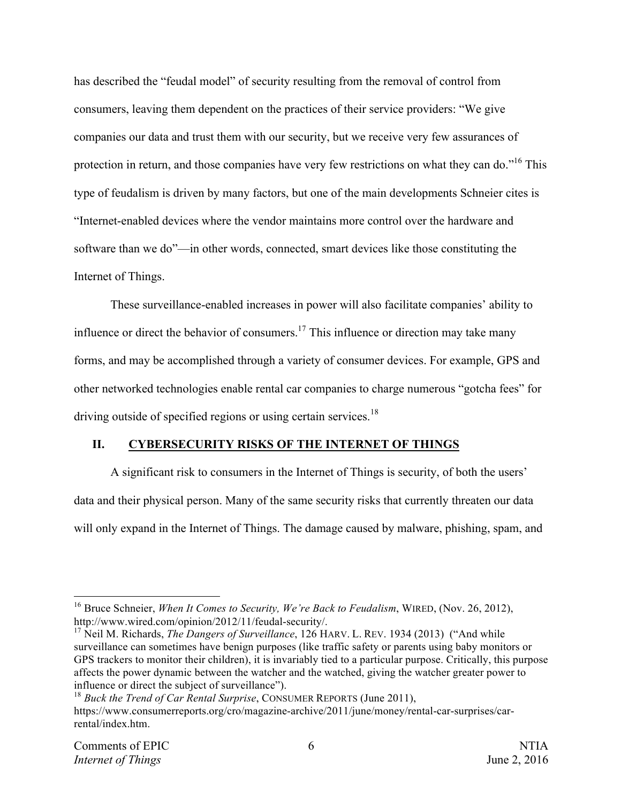has described the "feudal model" of security resulting from the removal of control from consumers, leaving them dependent on the practices of their service providers: "We give companies our data and trust them with our security, but we receive very few assurances of protection in return, and those companies have very few restrictions on what they can do."<sup>16</sup> This type of feudalism is driven by many factors, but one of the main developments Schneier cites is "Internet-enabled devices where the vendor maintains more control over the hardware and software than we do"—in other words, connected, smart devices like those constituting the Internet of Things.

These surveillance-enabled increases in power will also facilitate companies' ability to influence or direct the behavior of consumers.<sup>17</sup> This influence or direction may take many forms, and may be accomplished through a variety of consumer devices. For example, GPS and other networked technologies enable rental car companies to charge numerous "gotcha fees" for driving outside of specified regions or using certain services.<sup>18</sup>

#### **II. CYBERSECURITY RISKS OF THE INTERNET OF THINGS**

A significant risk to consumers in the Internet of Things is security, of both the users' data and their physical person. Many of the same security risks that currently threaten our data will only expand in the Internet of Things. The damage caused by malware, phishing, spam, and

 <sup>16</sup> Bruce Schneier, *When It Comes to Security, We're Back to Feudalism*, WIRED, (Nov. 26, 2012), http://www.wired.com/opinion/2012/11/feudal-security/.

<sup>17</sup> Neil M. Richards, *The Dangers of Surveillance*, 126 HARV. L. REV. 1934 (2013) ("And while surveillance can sometimes have benign purposes (like traffic safety or parents using baby monitors or GPS trackers to monitor their children), it is invariably tied to a particular purpose. Critically, this purpose affects the power dynamic between the watcher and the watched, giving the watcher greater power to influence or direct the subject of surveillance").

<sup>18</sup> *Buck the Trend of Car Rental Surprise*, CONSUMER REPORTS (June 2011), https://www.consumerreports.org/cro/magazine-archive/2011/june/money/rental-car-surprises/carrental/index.htm.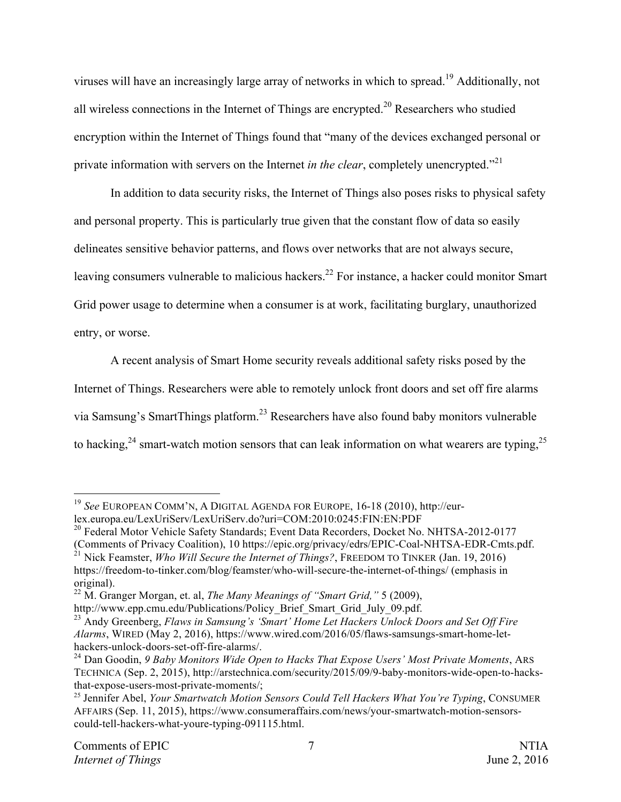viruses will have an increasingly large array of networks in which to spread.<sup>19</sup> Additionally, not all wireless connections in the Internet of Things are encrypted.<sup>20</sup> Researchers who studied encryption within the Internet of Things found that "many of the devices exchanged personal or private information with servers on the Internet *in the clear*, completely unencrypted."<sup>21</sup>

In addition to data security risks, the Internet of Things also poses risks to physical safety and personal property. This is particularly true given that the constant flow of data so easily delineates sensitive behavior patterns, and flows over networks that are not always secure, leaving consumers vulnerable to malicious hackers.<sup>22</sup> For instance, a hacker could monitor Smart Grid power usage to determine when a consumer is at work, facilitating burglary, unauthorized entry, or worse.

A recent analysis of Smart Home security reveals additional safety risks posed by the Internet of Things. Researchers were able to remotely unlock front doors and set off fire alarms via Samsung's SmartThings platform.23 Researchers have also found baby monitors vulnerable to hacking,  $24$  smart-watch motion sensors that can leak information on what wearers are typing,  $25$ 

 <sup>19</sup> *See* EUROPEAN COMM'N, <sup>A</sup> DIGITAL AGENDA FOR EUROPE, 16-18 (2010), http://eurlex.europa.eu/LexUriServ/LexUriServ.do?uri=COM:2010:0245:FIN:EN:PDF

<sup>&</sup>lt;sup>20</sup> Federal Motor Vehicle Safety Standards; Event Data Recorders, Docket No. NHTSA-2012-0177 (Comments of Privacy Coalition), 10 https://epic.org/privacy/edrs/EPIC-Coal-NHTSA-EDR-Cmts.pdf. <sup>21</sup> Nick Feamster, *Who Will Secure the Internet of Things?*, FREEDOM TO TINKER (Jan. 19, 2016) https://freedom-to-tinker.com/blog/feamster/who-will-secure-the-internet-of-things/ (emphasis in original).

<sup>22</sup> M. Granger Morgan, et. al, *The Many Meanings of "Smart Grid,"* 5 (2009),

http://www.epp.cmu.edu/Publications/Policy\_Brief\_Smart\_Grid\_July\_09.pdf. 23 Andy Greenberg, *Flaws in Samsung's 'Smart' Home Let Hackers Unlock Doors and Set Off Fire Alarms*, WIRED (May 2, 2016), https://www.wired.com/2016/05/flaws-samsungs-smart-home-lethackers-unlock-doors-set-off-fire-alarms/.<br><sup>24</sup> Dan Goodin, *9 Baby Monitors Wide Open to Hacks That Expose Users' Most Private Moments*, ARS

TECHNICA (Sep. 2, 2015), http://arstechnica.com/security/2015/09/9-baby-monitors-wide-open-to-hacksthat-expose-users-most-private-moments/; 25 Jennifer Abel, *Your Smartwatch Motion Sensors Could Tell Hackers What You're Typing*, CONSUMER

AFFAIRS (Sep. 11, 2015), https://www.consumeraffairs.com/news/your-smartwatch-motion-sensorscould-tell-hackers-what-youre-typing-091115.html.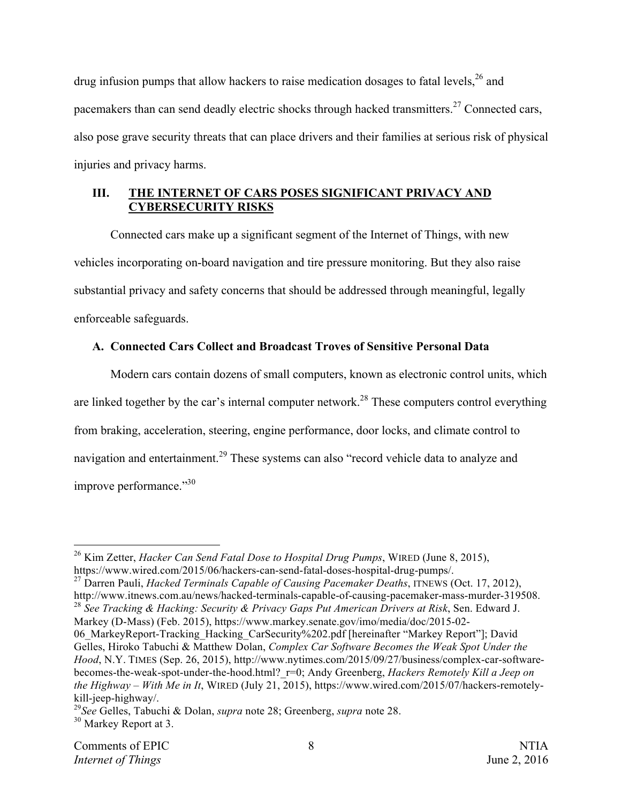drug infusion pumps that allow hackers to raise medication dosages to fatal levels,  $^{26}$  and pacemakers than can send deadly electric shocks through hacked transmitters.<sup>27</sup> Connected cars, also pose grave security threats that can place drivers and their families at serious risk of physical injuries and privacy harms.

## **III. THE INTERNET OF CARS POSES SIGNIFICANT PRIVACY AND CYBERSECURITY RISKS**

Connected cars make up a significant segment of the Internet of Things, with new vehicles incorporating on-board navigation and tire pressure monitoring. But they also raise substantial privacy and safety concerns that should be addressed through meaningful, legally enforceable safeguards.

## **A. Connected Cars Collect and Broadcast Troves of Sensitive Personal Data**

Modern cars contain dozens of small computers, known as electronic control units, which are linked together by the car's internal computer network.<sup>28</sup> These computers control everything from braking, acceleration, steering, engine performance, door locks, and climate control to navigation and entertainment.<sup>29</sup> These systems can also "record vehicle data to analyze and improve performance."<sup>30</sup>

<sup>27</sup> Darren Pauli, *Hacked Terminals Capable of Causing Pacemaker Deaths*, ITNEWS (Oct. 17, 2012), http://www.itnews.com.au/news/hacked-terminals-capable-of-causing-pacemaker-mass-murder-319508. 28 *See Tracking & Hacking: Security & Privacy Gaps Put American Drivers at Risk*, Sen. Edward J.

Markey (D-Mass) (Feb. 2015), https://www.markey.senate.gov/imo/media/doc/2015-02- 06 MarkeyReport-Tracking Hacking CarSecurity%202.pdf [hereinafter "Markey Report"]; David Gelles, Hiroko Tabuchi & Matthew Dolan, *Complex Car Software Becomes the Weak Spot Under the Hood*, N.Y. TIMES (Sep. 26, 2015), http://www.nytimes.com/2015/09/27/business/complex-car-softwarebecomes-the-weak-spot-under-the-hood.html? r=0; Andy Greenberg, *Hackers Remotely Kill a Jeep on the Highway – With Me in It*, WIRED (July 21, 2015), https://www.wired.com/2015/07/hackers-remotely-

kill-jeep-highway/.

<sup>&</sup>lt;sup>26</sup> Kim Zetter, *Hacker Can Send Fatal Dose to Hospital Drug Pumps*, WIRED (June 8, 2015), https://www.wired.com/2015/06/hackers-can-send-fatal-doses-hospital-drug-pumps/.

<sup>29</sup>*See* Gelles, Tabuchi & Dolan, *supra* note 28; Greenberg, *supra* note 28. <sup>30</sup> Markey Report at 3.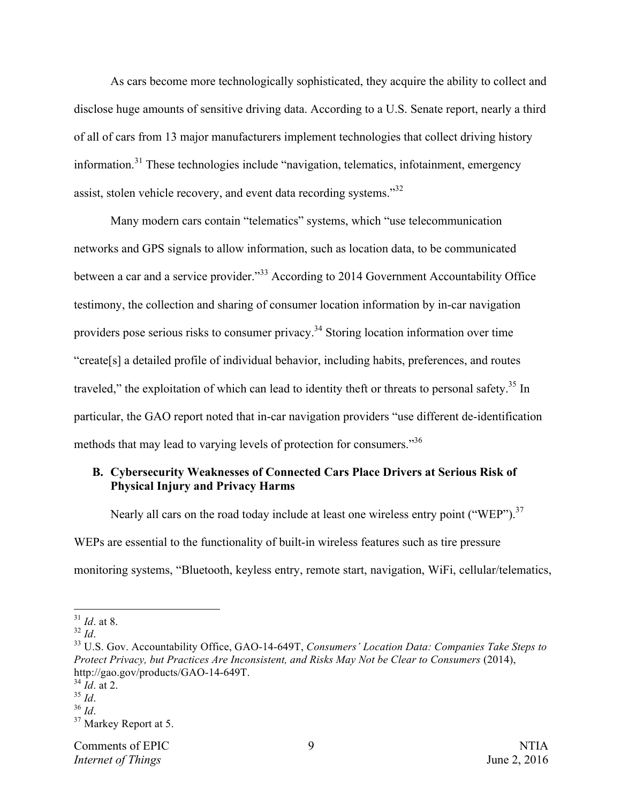As cars become more technologically sophisticated, they acquire the ability to collect and disclose huge amounts of sensitive driving data. According to a U.S. Senate report, nearly a third of all of cars from 13 major manufacturers implement technologies that collect driving history information.<sup>31</sup> These technologies include "navigation, telematics, infotainment, emergency assist, stolen vehicle recovery, and event data recording systems."32

Many modern cars contain "telematics" systems, which "use telecommunication networks and GPS signals to allow information, such as location data, to be communicated between a car and a service provider.<sup>33</sup> According to 2014 Government Accountability Office testimony, the collection and sharing of consumer location information by in-car navigation providers pose serious risks to consumer privacy.34 Storing location information over time "create[s] a detailed profile of individual behavior, including habits, preferences, and routes traveled," the exploitation of which can lead to identity theft or threats to personal safety.<sup>35</sup> In particular, the GAO report noted that in-car navigation providers "use different de-identification methods that may lead to varying levels of protection for consumers."36

### **B. Cybersecurity Weaknesses of Connected Cars Place Drivers at Serious Risk of Physical Injury and Privacy Harms**

Nearly all cars on the road today include at least one wireless entry point ("WEP").<sup>37</sup> WEPs are essential to the functionality of built-in wireless features such as tire pressure monitoring systems, "Bluetooth, keyless entry, remote start, navigation, WiFi, cellular/telematics,

 $\frac{31}{32}$  *Id.* at 8.

<sup>&</sup>lt;sup>33</sup> U.S. Gov. Accountability Office, GAO-14-649T, *Consumers' Location Data: Companies Take Steps to Protect Privacy, but Practices Are Inconsistent, and Risks May Not be Clear to Consumers* (2014), http://gao.gov/products/GAO-14-649T.

 $rac{34}{35}$  *Id.* at 2.

<sup>&</sup>lt;sup>36</sup> *Id*. <sup>37</sup> Markey Report at 5.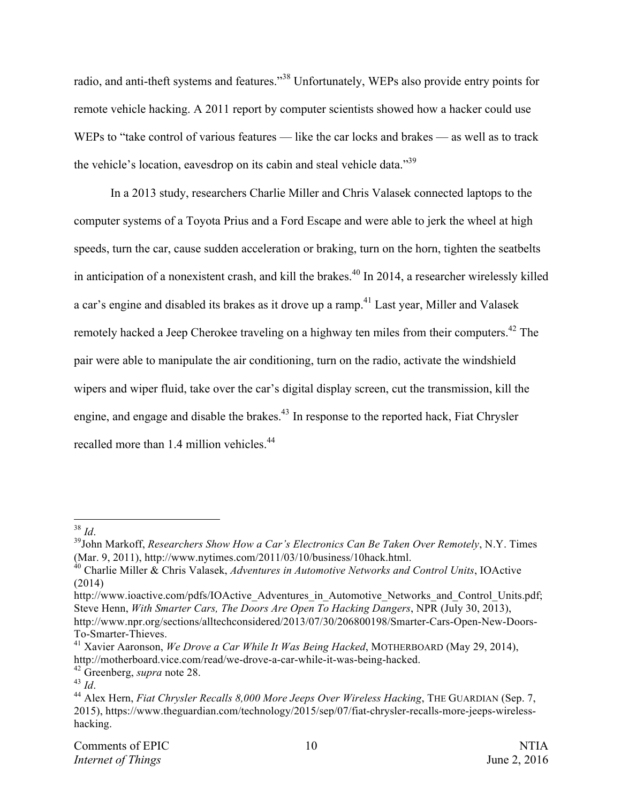radio, and anti-theft systems and features."<sup>38</sup> Unfortunately, WEPs also provide entry points for remote vehicle hacking. A 2011 report by computer scientists showed how a hacker could use WEPs to "take control of various features — like the car locks and brakes — as well as to track the vehicle's location, eavesdrop on its cabin and steal vehicle data."<sup>39</sup>

In a 2013 study, researchers Charlie Miller and Chris Valasek connected laptops to the computer systems of a Toyota Prius and a Ford Escape and were able to jerk the wheel at high speeds, turn the car, cause sudden acceleration or braking, turn on the horn, tighten the seatbelts in anticipation of a nonexistent crash, and kill the brakes.<sup>40</sup> In 2014, a researcher wirelessly killed a car's engine and disabled its brakes as it drove up a ramp.<sup>41</sup> Last year, Miller and Valasek remotely hacked a Jeep Cherokee traveling on a highway ten miles from their computers.<sup>42</sup> The pair were able to manipulate the air conditioning, turn on the radio, activate the windshield wipers and wiper fluid, take over the car's digital display screen, cut the transmission, kill the engine, and engage and disable the brakes.<sup>43</sup> In response to the reported hack, Fiat Chrysler recalled more than 1.4 million vehicles.<sup>44</sup>

<sup>&</sup>lt;sup>38</sup> *Id.*<br><sup>39</sup>John Markoff, *Researchers Show How a Car's Electronics Can Be Taken Over Remotely, N.Y. Times* (Mar. 9, 2011), http://www.nytimes.com/2011/03/10/business/10hack.html.

<sup>40</sup> Charlie Miller & Chris Valasek, *Adventures in Automotive Networks and Control Units*, IOActive (2014)

http://www.ioactive.com/pdfs/IOActive\_Adventures\_in\_Automotive\_Networks\_and\_Control\_Units.pdf; Steve Henn, *With Smarter Cars, The Doors Are Open To Hacking Dangers*, NPR (July 30, 2013), http://www.npr.org/sections/alltechconsidered/2013/07/30/206800198/Smarter-Cars-Open-New-Doors-To-Smarter-Thieves.

<sup>41</sup> Xavier Aaronson, *We Drove a Car While It Was Being Hacked*, MOTHERBOARD (May 29, 2014), http://motherboard.vice.com/read/we-drove-a-car-while-it-was-being-hacked.

<sup>42</sup> Greenberg, *supra* note 28.<br><sup>43</sup> *Id.* 44 Alex Hern, *Fiat Chrysler Recalls 8,000 More Jeeps Over Wireless Hacking*, THE GUARDIAN (Sep. 7, 2015), https://www.theguardian.com/technology/2015/sep/07/fiat-chrysler-recalls-more-jeeps-wirelesshacking.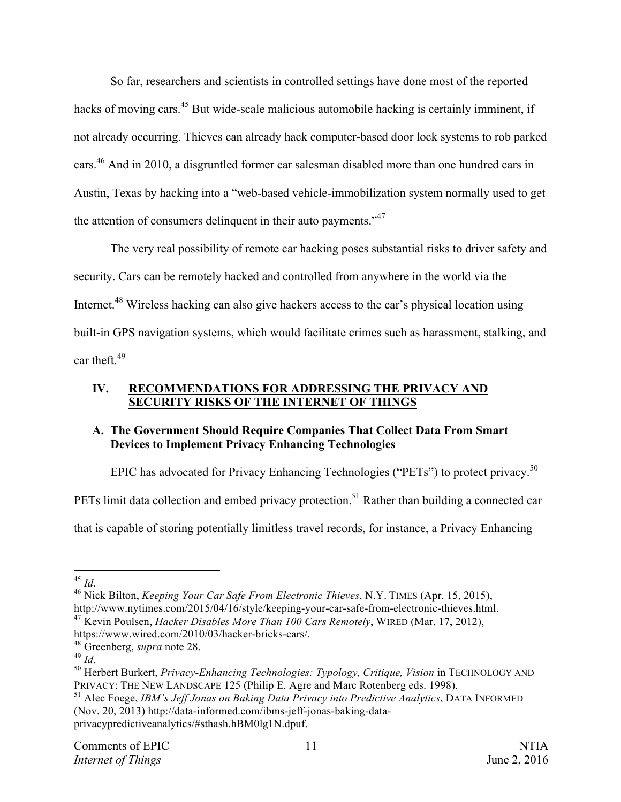So far, researchers and scientists in controlled settings have done most of the reported hacks of moving cars.<sup>45</sup> But wide-scale malicious automobile hacking is certainly imminent, if not already occurring. Thieves can already hack computer-based door lock systems to rob parked cars.<sup>46</sup> And in 2010, a disgruntled former car salesman disabled more than one hundred cars in Austin, Texas by hacking into a "web-based vehicle-immobilization system normally used to get the attention of consumers delinquent in their auto payments."<sup>47</sup>

The very real possibility of remote car hacking poses substantial risks to driver safety and security. Cars can be remotely hacked and controlled from anywhere in the world via the Internet.<sup>48</sup> Wireless hacking can also give hackers access to the car's physical location using built-in GPS navigation systems, which would facilitate crimes such as harassment, stalking, and car theft. $49$ 

#### **IV. RECOMMENDATIONS FOR ADDRESSING THE PRIVACY AND SECURITY RISKS OF THE INTERNET OF THINGS**

## **A. The Government Should Require Companies That Collect Data From Smart Devices to Implement Privacy Enhancing Technologies**

EPIC has advocated for Privacy Enhancing Technologies ("PETs") to protect privacy.<sup>50</sup>

PETs limit data collection and embed privacy protection.<sup>51</sup> Rather than building a connected car

that is capable of storing potentially limitless travel records, for instance, a Privacy Enhancing

<sup>45</sup> *Id.* 46 *Id.* 46 *Mick Bilton, <i>Keeping Your Car Safe From Electronic Thieves, N.Y.* TIMES (Apr. 15, 2015), 46 Nick Bilton, *Keeping Your Car Safe From Electronic Thieves, N.Y.* TIMES (Apr. 15, 2015), http://www.nytimes.com/2015/04/16/style/keeping-your-car-safe-from-electronic-thieves.html. <sup>47</sup> Kevin Poulsen, *Hacker Disables More Than 100 Cars Remotely*, WIRED (Mar. 17, 2012),

<sup>51</sup> Alec Foege, *IBM's Jeff Jonas on Baking Data Privacy into Predictive Analytics*, DATA INFORMED (Nov. 20, 2013) http://data-informed.com/ibms-jeff-jonas-baking-dataprivacypredictiveanalytics/#sthash.hBM0lg1N.dpuf.

https://www.wired.com/2010/03/hacker-bricks-cars/.<br><sup>48</sup> Greenberg, *supra* note 28.

<sup>&</sup>lt;sup>49</sup> Id. <sup>50</sup> Herbert Burkert, *Privacy-Enhancing Technologies: Typology, Critique, Vision* in TECHNOLOGY AND <sup>50</sup> Herbert Burkert, *Privacy-Enhancing Technologies: Typology, Critique, Vision* in TECHNOLOGY AND PRIVACY: THE NEW LANDSCAPE 125 (Philip E. Agre and Marc Rotenberg eds. 1998).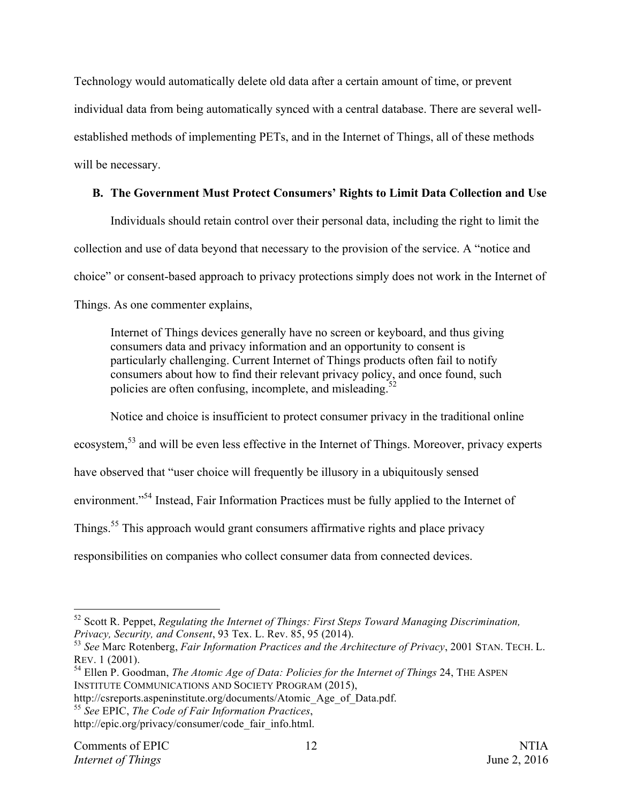Technology would automatically delete old data after a certain amount of time, or prevent individual data from being automatically synced with a central database. There are several wellestablished methods of implementing PETs, and in the Internet of Things, all of these methods will be necessary.

# **B. The Government Must Protect Consumers' Rights to Limit Data Collection and Use**

Individuals should retain control over their personal data, including the right to limit the collection and use of data beyond that necessary to the provision of the service. A "notice and choice" or consent-based approach to privacy protections simply does not work in the Internet of Things. As one commenter explains,

Internet of Things devices generally have no screen or keyboard, and thus giving consumers data and privacy information and an opportunity to consent is particularly challenging. Current Internet of Things products often fail to notify consumers about how to find their relevant privacy policy, and once found, such policies are often confusing, incomplete, and misleading.<sup>5</sup>

Notice and choice is insufficient to protect consumer privacy in the traditional online ecosystem,<sup>53</sup> and will be even less effective in the Internet of Things. Moreover, privacy experts have observed that "user choice will frequently be illusory in a ubiquitously sensed environment."<sup>54</sup> Instead, Fair Information Practices must be fully applied to the Internet of Things.55 This approach would grant consumers affirmative rights and place privacy responsibilities on companies who collect consumer data from connected devices.

 <sup>52</sup> Scott R. Peppet, *Regulating the Internet of Things: First Steps Toward Managing Discrimination, Privacy, Security, and Consent*, 93 Tex. L. Rev. 85, 95 (2014). 53 *See* Marc Rotenberg, *Fair Information Practices and the Architecture of Privacy*, 2001 STAN. TECH. L.

REV. 1 (2001).

<sup>54</sup> Ellen P. Goodman, *The Atomic Age of Data: Policies for the Internet of Things* 24, THE ASPEN INSTITUTE COMMUNICATIONS AND SOCIETY PROGRAM (2015),

http://csreports.aspeninstitute.org/documents/Atomic\_Age\_of\_Data.pdf. 55 *See* EPIC, *The Code of Fair Information Practices*,

http://epic.org/privacy/consumer/code\_fair\_info.html.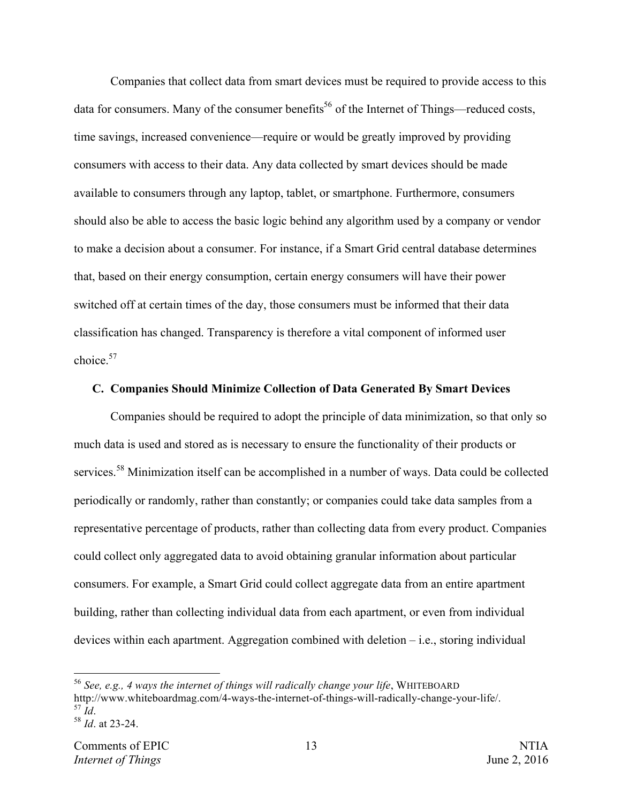Companies that collect data from smart devices must be required to provide access to this data for consumers. Many of the consumer benefits<sup>56</sup> of the Internet of Things—reduced costs, time savings, increased convenience—require or would be greatly improved by providing consumers with access to their data. Any data collected by smart devices should be made available to consumers through any laptop, tablet, or smartphone. Furthermore, consumers should also be able to access the basic logic behind any algorithm used by a company or vendor to make a decision about a consumer. For instance, if a Smart Grid central database determines that, based on their energy consumption, certain energy consumers will have their power switched off at certain times of the day, those consumers must be informed that their data classification has changed. Transparency is therefore a vital component of informed user choice  $57$ 

#### **C. Companies Should Minimize Collection of Data Generated By Smart Devices**

Companies should be required to adopt the principle of data minimization, so that only so much data is used and stored as is necessary to ensure the functionality of their products or services.<sup>58</sup> Minimization itself can be accomplished in a number of ways. Data could be collected periodically or randomly, rather than constantly; or companies could take data samples from a representative percentage of products, rather than collecting data from every product. Companies could collect only aggregated data to avoid obtaining granular information about particular consumers. For example, a Smart Grid could collect aggregate data from an entire apartment building, rather than collecting individual data from each apartment, or even from individual devices within each apartment. Aggregation combined with deletion – i.e., storing individual

 <sup>56</sup> *See, e.g., 4 ways the internet of things will radically change your life*, WHITEBOARD http://www.whiteboardmag.com/4-ways-the-internet-of-things-will-radically-change-your-life/. <sup>57</sup> *Id*. <sup>58</sup> *Id*. at 23-24.